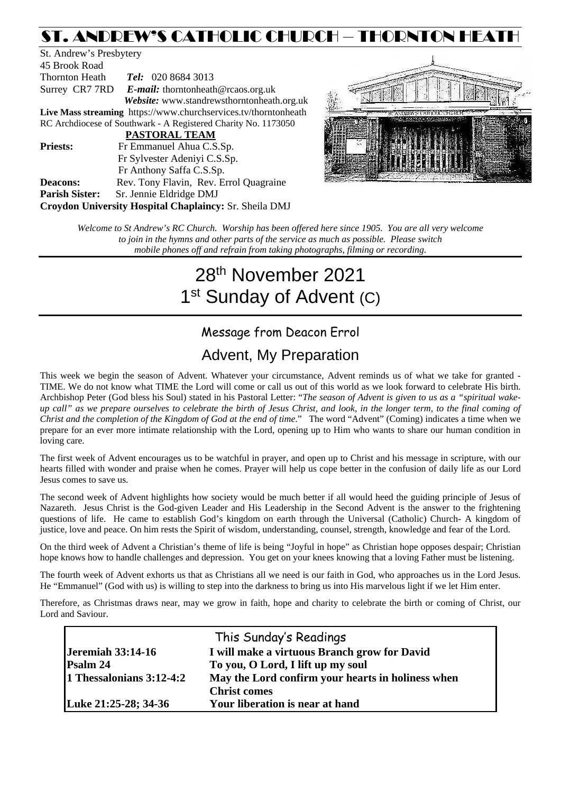# ST. ANDREW'S CATHOLIC CHURCH – THORNTON HEATH

St. Andrew's Presbytery 45 Brook Road Thornton Heath *Tel:* 020 8684 3013 Surrey CR7 7RD *E-mail:* [thorntonheath@rcaos.org.uk](mailto:thorntonheath@rcaos.org.uk) *Website:* www.standrewsthorntonheath.org.uk **Live Mass streaming** <https://www.churchservices.tv/thorntonheath> RC Archdiocese of Southwark - A Registered Charity No. 1173050  **PASTORAL TEAM Priests:** Fr Emmanuel Ahua C.S.Sp. Fr Sylvester Adeniyi C.S.Sp. Fr Anthony Saffa C.S.Sp. **Deacons:** Rev. Tony Flavin, Rev. Errol Quagraine **Parish Sister:** Sr. Jennie Eldridge DMJ **Croydon University Hospital Chaplaincy:** Sr. Sheila DMJ



*Welcome to St Andrew's RC Church. Worship has been offered here since 1905. You are all very welcome to join in the hymns and other parts of the service as much as possible. Please switch mobile phones off and refrain from taking photographs, filming or recording.*

# 28th November 2021 1<sup>st</sup> Sunday of Advent (C)

### Message from Deacon Errol

# Advent, My Preparation

This week we begin the season of Advent. Whatever your circumstance, Advent reminds us of what we take for granted - TIME. We do not know what TIME the Lord will come or call us out of this world as we look forward to celebrate His birth. Archbishop Peter (God bless his Soul) stated in his Pastoral Letter: "*The season of Advent is given to us as a "spiritual wakeup call" as we prepare ourselves to celebrate the birth of Jesus Christ, and look, in the longer term, to the final coming of Christ and the completion of the Kingdom of God at the end of time*." The word "Advent" (Coming) indicates a time when we prepare for an ever more intimate relationship with the Lord, opening up to Him who wants to share our human condition in loving care.

The first week of Advent encourages us to be watchful in prayer, and open up to Christ and his message in scripture, with our hearts filled with wonder and praise when he comes. Prayer will help us cope better in the confusion of daily life as our Lord Jesus comes to save us.

The second week of Advent highlights how society would be much better if all would heed the guiding principle of Jesus of Nazareth. Jesus Christ is the God-given Leader and His Leadership in the Second Advent is the answer to the frightening questions of life. He came to establish God's kingdom on earth through the Universal (Catholic) Church- A kingdom of justice, love and peace. On him rests the Spirit of wisdom, understanding, counsel, strength, knowledge and fear of the Lord.

On the third week of Advent a Christian's theme of life is being "Joyful in hope" as Christian hope opposes despair; Christian hope knows how to handle challenges and depression. You get on your knees knowing that a loving Father must be listening.

The fourth week of Advent exhorts us that as Christians all we need is our faith in God, who approaches us in the Lord Jesus. He "Emmanuel" (God with us) is willing to step into the darkness to bring us into His marvelous light if we let Him enter.

Therefore, as Christmas draws near, may we grow in faith, hope and charity to celebrate the birth or coming of Christ, our Lord and Saviour.

|                            | This Sunday's Readings                            |  |  |
|----------------------------|---------------------------------------------------|--|--|
| <b>Jeremiah 33:14-16</b>   | I will make a virtuous Branch grow for David      |  |  |
| <b>Psalm 24</b>            | To you, O Lord, I lift up my soul                 |  |  |
| 1 Thessalonians $3:12-4:2$ | May the Lord confirm your hearts in holiness when |  |  |
|                            | <b>Christ comes</b>                               |  |  |
| Luke 21:25-28; 34-36       | Your liberation is near at hand                   |  |  |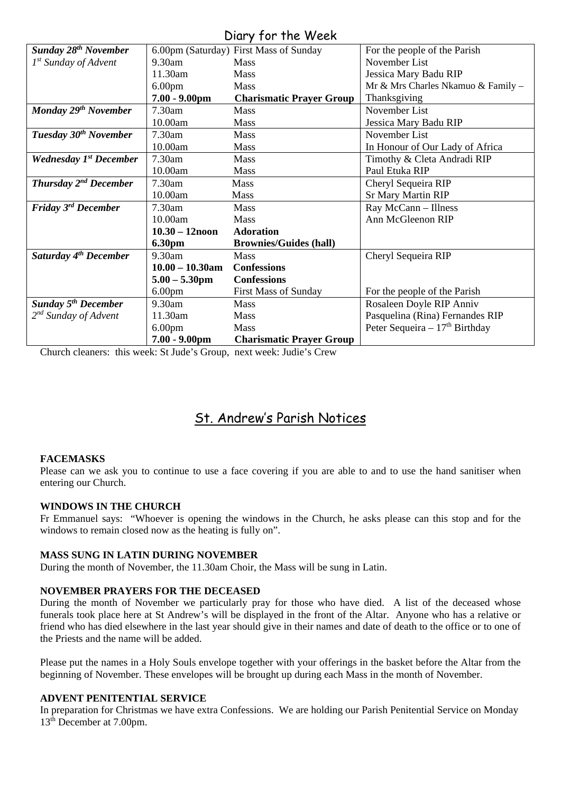### Diary for the Week

| 5.1                                    |                    |                                        |                                    |  |
|----------------------------------------|--------------------|----------------------------------------|------------------------------------|--|
| <b>Sunday 28<sup>th</sup> November</b> |                    | 6.00pm (Saturday) First Mass of Sunday | For the people of the Parish       |  |
| $1st$ Sunday of Advent                 | 9.30am             | <b>Mass</b>                            | November List                      |  |
|                                        | 11.30am            | Mass                                   | Jessica Mary Badu RIP              |  |
|                                        | 6.00 <sub>pm</sub> | <b>Mass</b>                            | Mr & Mrs Charles Nkamuo & Family - |  |
|                                        | $7.00 - 9.00$ pm   | <b>Charismatic Prayer Group</b>        | Thanksgiving                       |  |
| Monday 29 <sup>th</sup> November       | 7.30am             | Mass                                   | November List                      |  |
|                                        | 10.00am            | <b>Mass</b>                            | Jessica Mary Badu RIP              |  |
| Tuesday 30 <sup>th</sup> November      | 7.30am             | Mass                                   | November List                      |  |
|                                        | 10.00am            | <b>Mass</b>                            | In Honour of Our Lady of Africa    |  |
| <b>Wednesday 1st December</b>          | 7.30am             | Mass                                   | Timothy & Cleta Andradi RIP        |  |
|                                        | 10.00am            | <b>Mass</b>                            | Paul Etuka RIP                     |  |
| Thursday $2^{nd}$ December             | 7.30am             | Mass                                   | Cheryl Sequeira RIP                |  |
|                                        | 10.00am            | <b>Mass</b>                            | <b>Sr Mary Martin RIP</b>          |  |
| Friday 3 <sup>rd</sup> December        | 7.30am             | Mass                                   | Ray McCann - Illness               |  |
|                                        | 10.00am            | Mass                                   | Ann McGleenon RIP                  |  |
|                                        | $10.30 - 12$ noon  | <b>Adoration</b>                       |                                    |  |
|                                        | <b>6.30pm</b>      | <b>Brownies/Guides (hall)</b>          |                                    |  |
| Saturday 4 <sup>th</sup> December      | 9.30am             | Mass                                   | Cheryl Sequeira RIP                |  |
|                                        | $10.00 - 10.30$ am | <b>Confessions</b>                     |                                    |  |
|                                        | $5.00 - 5.30$ pm   | <b>Confessions</b>                     |                                    |  |
|                                        | 6.00 <sub>pm</sub> | <b>First Mass of Sunday</b>            | For the people of the Parish       |  |
| <b>Sunday 5<sup>th</sup> December</b>  | 9.30am             | <b>Mass</b>                            | Rosaleen Doyle RIP Anniv           |  |
| $2^{nd}$ Sunday of Advent              | 11.30am            | <b>Mass</b>                            | Pasquelina (Rina) Fernandes RIP    |  |
|                                        | 6.00 <sub>pm</sub> | <b>Mass</b>                            | Peter Sequeira - $17th$ Birthday   |  |
|                                        | $7.00 - 9.00$ pm   | <b>Charismatic Prayer Group</b>        |                                    |  |

Church cleaners: this week: St Jude's Group, next week: Judie's Crew

# St. Andrew's Parish Notices

#### **FACEMASKS**

Please can we ask you to continue to use a face covering if you are able to and to use the hand sanitiser when entering our Church.

#### **WINDOWS IN THE CHURCH**

Fr Emmanuel says: "Whoever is opening the windows in the Church, he asks please can this stop and for the windows to remain closed now as the heating is fully on".

#### **MASS SUNG IN LATIN DURING NOVEMBER**

During the month of November, the 11.30am Choir, the Mass will be sung in Latin.

#### **NOVEMBER PRAYERS FOR THE DECEASED**

During the month of November we particularly pray for those who have died. A list of the deceased whose funerals took place here at St Andrew's will be displayed in the front of the Altar. Anyone who has a relative or friend who has died elsewhere in the last year should give in their names and date of death to the office or to one of the Priests and the name will be added.

Please put the names in a Holy Souls envelope together with your offerings in the basket before the Altar from the beginning of November. These envelopes will be brought up during each Mass in the month of November.

#### **ADVENT PENITENTIAL SERVICE**

In preparation for Christmas we have extra Confessions. We are holding our Parish Penitential Service on Monday 13<sup>th</sup> December at 7.00pm.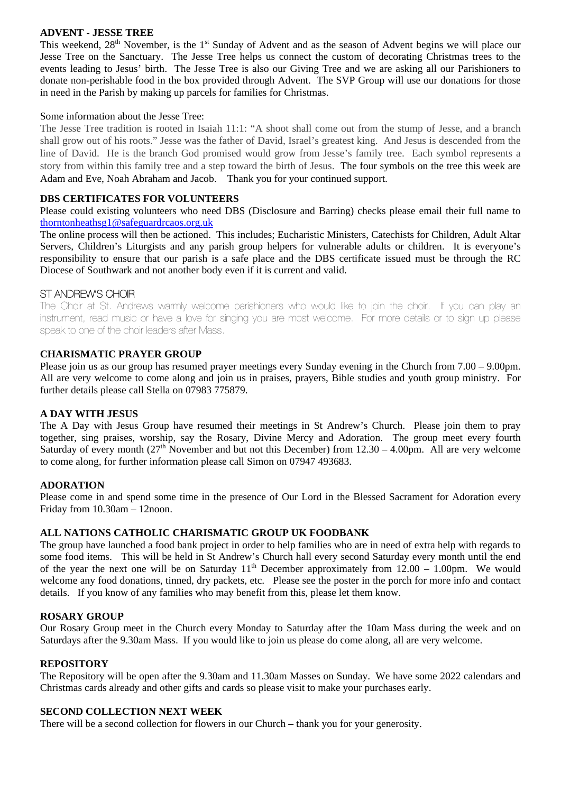#### **ADVENT - JESSE TREE**

This weekend, 28<sup>th</sup> November, is the 1<sup>st</sup> Sunday of Advent and as the season of Advent begins we will place our Jesse Tree on the Sanctuary. The Jesse Tree helps us connect the custom of decorating Christmas trees to the events leading to Jesus' birth. The Jesse Tree is also our Giving Tree and we are asking all our Parishioners to donate non-perishable food in the box provided through Advent. The SVP Group will use our donations for those in need in the Parish by making up parcels for families for Christmas.

#### Some information about the Jesse Tree:

The Jesse Tree tradition is rooted in Isaiah 11:1: "A shoot shall come out from the stump of Jesse, and a branch shall grow out of his roots." Jesse was the father of David, Israel's greatest king. And Jesus is descended from the line of David. He is the branch God promised would grow from Jesse's family tree. Each symbol represents a story from within this family tree and a step toward the birth of Jesus. The four symbols on the tree this week are Adam and Eve, Noah Abraham and Jacob. Thank you for your continued support.

#### **DBS CERTIFICATES FOR VOLUNTEERS**

Please could existing volunteers who need DBS (Disclosure and Barring) checks please email their full name to [thorntonheathsg1@safeguardrcaos.org.uk](mailto:thorntonheathsg1@safeguardrcaos.org.uk)

The online process will then be actioned. This includes; Eucharistic Ministers, Catechists for Children, Adult Altar Servers, Children's Liturgists and any parish group helpers for vulnerable adults or children. It is everyone's responsibility to ensure that our parish is a safe place and the DBS certificate issued must be through the RC Diocese of Southwark and not another body even if it is current and valid.

#### ST ANDREW'S CHOIR

The Choir at St. Andrews warmly welcome parishioners who would like to join the choir. If you can play an instrument, read music or have a love for singing you are most welcome. For more details or to sign up please speak to one of the choir leaders after Mass.

#### **CHARISMATIC PRAYER GROUP**

Please join us as our group has resumed prayer meetings every Sunday evening in the Church from 7.00 – 9.00pm. All are very welcome to come along and join us in praises, prayers, Bible studies and youth group ministry. For further details please call Stella on 07983 775879.

#### **A DAY WITH JESUS**

The A Day with Jesus Group have resumed their meetings in St Andrew's Church. Please join them to pray together, sing praises, worship, say the Rosary, Divine Mercy and Adoration. The group meet every fourth Saturday of every month  $(27<sup>th</sup>$  November and but not this December) from  $12.30 - 4.00$ pm. All are very welcome to come along, for further information please call Simon on 07947 493683.

#### **ADORATION**

Please come in and spend some time in the presence of Our Lord in the Blessed Sacrament for Adoration every Friday from 10.30am – 12noon.

#### **ALL NATIONS CATHOLIC CHARISMATIC GROUP UK FOODBANK**

The group have launched a food bank project in order to help families who are in need of extra help with regards to some food items. This will be held in St Andrew's Church hall every second Saturday every month until the end of the year the next one will be on Saturday  $11<sup>th</sup>$  December approximately from  $12.00 - 1.00$ pm. We would welcome any food donations, tinned, dry packets, etc. Please see the poster in the porch for more info and contact details. If you know of any families who may benefit from this, please let them know.

#### **ROSARY GROUP**

Our Rosary Group meet in the Church every Monday to Saturday after the 10am Mass during the week and on Saturdays after the 9.30am Mass. If you would like to join us please do come along, all are very welcome.

#### **REPOSITORY**

The Repository will be open after the 9.30am and 11.30am Masses on Sunday. We have some 2022 calendars and Christmas cards already and other gifts and cards so please visit to make your purchases early.

#### **SECOND COLLECTION NEXT WEEK**

There will be a second collection for flowers in our Church – thank you for your generosity.